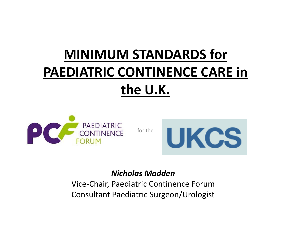# **MINIMUM STANDARDS for PAEDIATRIC CONTINENCE CARE inthe U.K.**



for the



#### *Nicholas Madden*

Vice‐Chair, Paediatric Continence Forum Consultant Paediatric Surgeon/Urologist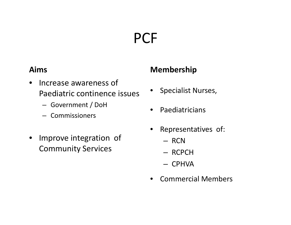# **PCF**

#### **Aims**

- $\bullet$ • Increase awareness of Paediatric continence issues
	- Government / DoH
	- Commissioners
- $\bullet$  Improve integration of Community Services

#### **Membership**

- •Specialist Nurses,
- $\bullet$ **•** Paediatricians
- • Representatives of:
	- RCN
	- RCPCH
	- CPHVA
- •Commercial Members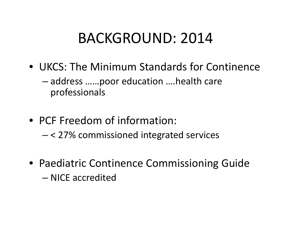#### BACKGROUND: 2014

- UKCS: The Minimum Standards for Continence
	- address ……poor education ….health care professionals
- PCF Freedom of information:
	- < 27% commissioned integrated services
- Paediatric Continence Commissioning Guide – NICE accredited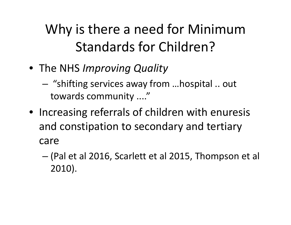### Why is there <sup>a</sup> need for Minimum Standards for Children?

- The NHS *Improving Quality*
	- – "shifting services away from …hospital .. out towards community ...."
- Increasing referrals of children with enuresis and constipation to secondary and tertiary care
	- (Pal et al 2016, Scarlett et al 2015, Thompson et al 2010).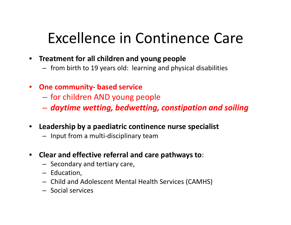## Excellence in Continence Care

- **Treatment for all children and young people**
	- from birth to 19 years old: learning and physical disabilities
- **One community‐ based service**
	- for children AND young people
	- *daytime wetting, bedwetting, constipation and soiling*
- **Leadership by <sup>a</sup> paediatric continence nurse specialist**
	- Input from <sup>a</sup> multi‐disciplinary team
- **Clear and effective referral and care pathways to**:
	- Secondary and tertiary care,
	- Education,
	- Child and Adolescent Mental Health Services (CAMHS)
	- Social services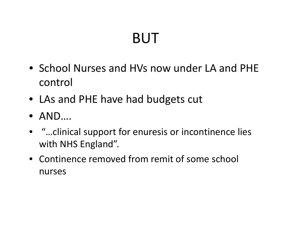# BUT

- School Nurses and HVs now under LA and PHE control
- LAs and PHE have had budgets cut
- AND….
- "…clinical support for enuresis or incontinence lies with NHS England".
- Continence removed from remit of some school nurses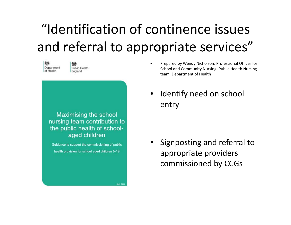### "Identification of continence issues and referral to appropriate services"



Public Health England

Maximising the school nursing team contribution to the public health of schoolaged children

Guidance to support the commissioning of public health provision for school aged children 5-19

April 2014

- • Prepared by Wendy Nicholson, Professional Officer for School and Community Nursing, Public Health Nursing team, Department of Health
- • Identify need on school entry

• Signposting and referral to appropriate providers commissioned by CCGs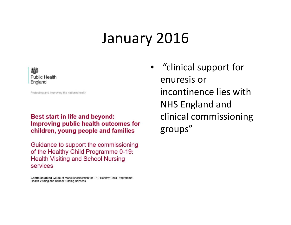#### January 2016



Protecting and improving the nation's health

#### Best start in life and beyond: Improving public health outcomes for children, young people and families

Guidance to support the commissioning of the Healthy Child Programme 0-19: **Health Visiting and School Nursing** services

Commissioning Guide 2: Model specification for 0-19 Healthy Child Programme: Health Visiting and School Nursing Services

• "clinical support for enuresis or incontinence lies withNHS England and clinical commissioning groups"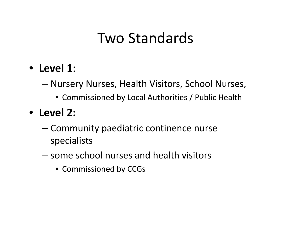### Two Standards

- **Level 1**:
	- – Nursery Nurses, Health Visitors, School Nurses,
		- Commissioned by Local Authorities / Public Health
- **Level 2:**
	- Community paediatric continence nurse specialists
	- some school nurses and health visitors
		- Commissioned by CCGs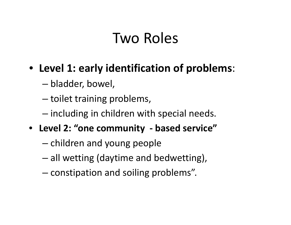#### Two Roles

#### • **Level 1: early identification of problems**:

- –bladder, bowel,
- –– toilet training problems,
- $-$  including in children with special needs.
- **Level 2: "one community ‐ based service"**
	- –– children and young people
	- –all wetting (daytime and bedwetting),
	- –– constipation and soiling problems".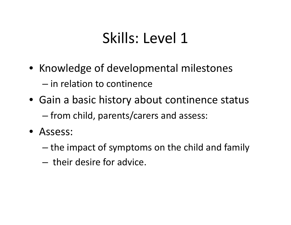## Skills: Level 1

- Knowledge of developmental milestones – in relation to continence
- Gain <sup>a</sup> basic history about continence status – from child, parents/carers and assess:
- Assess:
	- $-$  the impact of symptoms on the child and family
	- their desire for advice.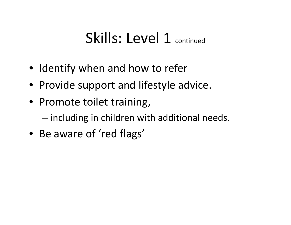#### Skills: Level 1 continued

- Identify when and how to refer
- Provide support and lifestyle advice.
- Promote toilet training,
	- – $-$  including in children with additional needs.
- Be aware of 'red flags'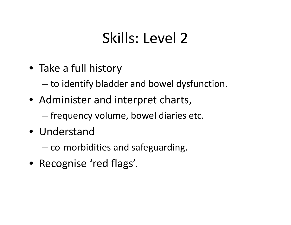## Skills: Level 2

• Take <sup>a</sup> full history

–to identify bladder and bowel dysfunction.

- Administer and interpret charts,
	- – $-$  frequency volume, bowel diaries etc.
- Understand
	- co‐morbidities and safeguarding.
- Recognise 'red flags'.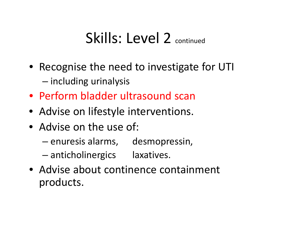### Skills: Level 2 continued

- Recognise the need to investigate for UTI — including urinalysis
- Perform bladder ultrasound scan
- Advise on lifestyle interventions.
- Advise on the use of:
	- –enuresis alarms, desmopressin,
	- –anticholinergics laxatives.
- Advise about continence containment products.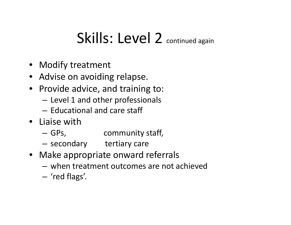### Skills: Level 2 continued again

- Modify treatment
- Advise on avoiding relapse.
- Provide advice, and training to:
	- – $-$  Level 1 and other professionals
	- Educational and care staff
- Liaise with
	- –GPs, community staff,
	- secondary tertiary care
- Make appropriate onward referrals
	- when treatment outcomes are not achieved
	- 'red flags'.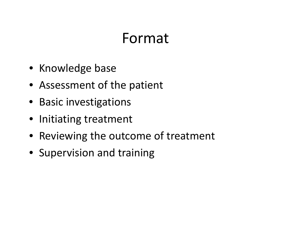#### Format

- Knowledge base
- Assessment of the patient
- Basic investigations
- Initiating treatment
- Reviewing the outcome of treatment
- Supervision and training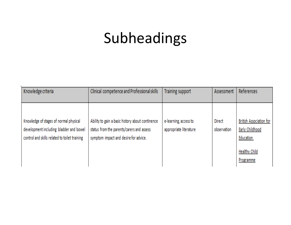# Subheadings

| Knowledge criteria                                                                                                                 | Clinical competence and Professional skills                                                                                            | <b>Training support</b>                         | Assessment            | References                                                                                    |
|------------------------------------------------------------------------------------------------------------------------------------|----------------------------------------------------------------------------------------------------------------------------------------|-------------------------------------------------|-----------------------|-----------------------------------------------------------------------------------------------|
| Knowledge of stages of normal physical<br>development including bladder and bowel<br>control and skills related to toilet training | Ability to gain a basic history about continence<br>status from the parents/carers and assess<br>symptom impact and desire for advice. | e-learning, access to<br>appropriate literature | Direct<br>observation | British Association for<br>Early Childhood<br>Education.<br><b>Healthy Child</b><br>Programme |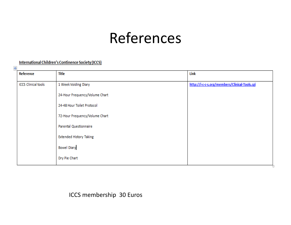#### References

#### **International Children's Continence Society (ICCS)**

| $\ddot{\mathrm{+}}$ |                            |                                |                                               |
|---------------------|----------------------------|--------------------------------|-----------------------------------------------|
|                     | Reference                  | Title                          | Link                                          |
|                     |                            |                                |                                               |
|                     | <b>ICCS Clinical tools</b> | 1 Week Voiding Diary           | http://i-c-c-s.org/members/Clinical-Tools.cgi |
|                     |                            |                                |                                               |
|                     |                            | 24-Hour Frequency/Volume Chart |                                               |
|                     |                            |                                |                                               |
|                     |                            | 24-48 Hour Toilet Protocol     |                                               |
|                     |                            |                                |                                               |
|                     |                            | 72-Hour Frequency/Volume Chart |                                               |
|                     |                            | Parental Questionnaire         |                                               |
|                     |                            |                                |                                               |
|                     |                            | <b>Extended History Taking</b> |                                               |
|                     |                            |                                |                                               |
|                     |                            | <b>Bowel Diary</b>             |                                               |
|                     |                            |                                |                                               |
|                     |                            | Dry Pie Chart                  |                                               |
|                     |                            |                                |                                               |

ICCS membership 30 Euros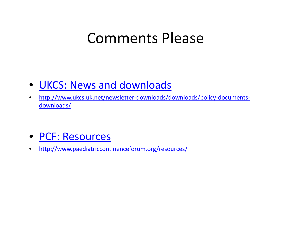#### Comments Please

- UKCS: News and downloads
- $\bullet$ http://www.ukcs.uk.net/newsletter-downloads/downloads/policy-documentsdownloads/
- PCF: Resources
- $\bullet$ http://www.paediatriccontinenceforum.org/resources/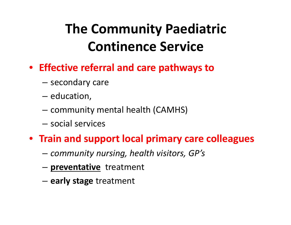## **The Community Paediatric Continence Service**

- **Effective referral and care pathways to**
	- –— secondary care
	- – $-$  education,
	- – $-$  community mental health (CAMHS)
	- social services
- **Train and support local primary care colleagues**
	- –*community nursing, health visitors, GP's*
	- –**preventative** treatment
	- –**early stage** treatment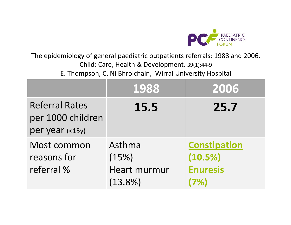

The epidemiology of general paediatric outpatients referrals: 1988 and 2006. Child: Care, Health & Development. 39(1):44‐<sup>9</sup> E. Thompson, C. Ni Bhrolchain, Wirral University Hospital

|                                                               | 1988                                                 | 2006                                                      |
|---------------------------------------------------------------|------------------------------------------------------|-----------------------------------------------------------|
| <b>Referral Rates</b><br>per 1000 children<br>per year (<15y) | 15.5                                                 | 25.7                                                      |
| Most common<br>reasons for<br>referral %                      | Asthma<br>(15%)<br><b>Heart murmur</b><br>$(13.8\%)$ | <b>Constipation</b><br>(10.5%)<br><b>Enuresis</b><br>(7%) |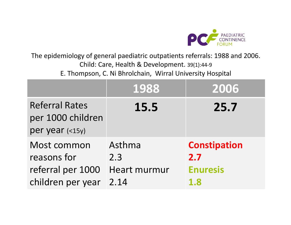

The epidemiology of general paediatric outpatients referrals: 1988 and 2006. Child: Care, Health & Development. 39(1):44‐<sup>9</sup> E. Thompson, C. Ni Bhrolchain, Wirral University Hospital

|                                                                      | 1988                                  | 2006                                                 |
|----------------------------------------------------------------------|---------------------------------------|------------------------------------------------------|
| <b>Referral Rates</b><br>per 1000 children<br>per year (<15y)        | 15.5                                  | 25.7                                                 |
| Most common<br>reasons for<br>referral per 1000<br>children per year | Asthma<br>2.3<br>Heart murmur<br>2.14 | <b>Constipation</b><br>2.7<br><b>Enuresis</b><br>1.8 |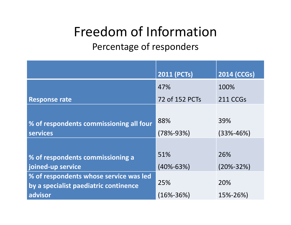#### Freedom of Information Percentage of responders

|                                                             | <b>2011 (PCTs)</b> | <b>2014 (CCGs)</b> |
|-------------------------------------------------------------|--------------------|--------------------|
|                                                             | 47%                | 100%               |
| <b>Response rate</b>                                        | 72 of 152 PCTs     | 211 CCGs           |
| % of respondents commissioning all four                     | 88%                | 39%                |
| <b>services</b>                                             | $(78\% - 93\%)$    | $(33% - 46%)$      |
| % of respondents commissioning a                            | 51%                | 26%                |
| joined-up service<br>% of respondents whose service was led | $(40\% - 63\%)$    | $(20\% - 32\%)$    |
| by a specialist paediatric continence                       | 25%                | 20%                |
| advisor                                                     | $(16\% - 36\%)$    | 15%-26%)           |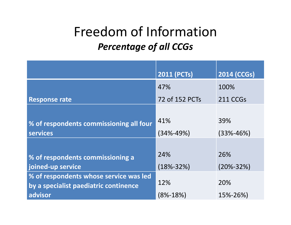#### Freedom of Information *Percentage of all CCGs*

|                                                                                            | <b>2011 (PCTs)</b>     | 2014 (CCGs)            |
|--------------------------------------------------------------------------------------------|------------------------|------------------------|
|                                                                                            | 47%                    | 100%                   |
| <b>Response rate</b>                                                                       | 72 of 152 PCTs         | 211 CCGs               |
| % of respondents commissioning all four<br><b>services</b>                                 | 41%<br>$(34\% - 49\%)$ | 39%<br>$(33% - 46%)$   |
| % of respondents commissioning a<br>joined-up service                                      | 24%<br>$(18\% - 32\%)$ | 26%<br>$(20\% - 32\%)$ |
| % of respondents whose service was led<br>by a specialist paediatric continence<br>advisor | 12%<br>$(8\% - 18\%)$  | 20%<br>15%-26%)        |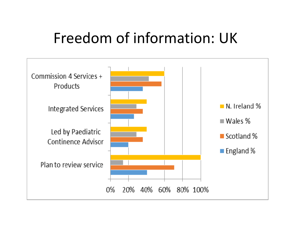#### Freedom of information: UK

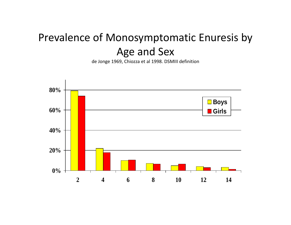#### Prevalence of Monosymptomatic Enuresis by Age and Sex

de Jonge 1969, Chiozza et al 1998. DSMIII definition

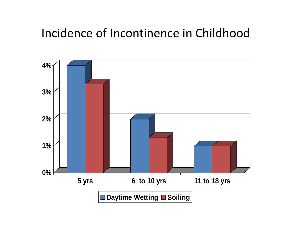#### Incidence of Incontinence in Childhood

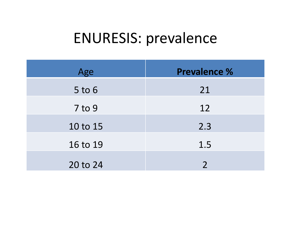## ENURESIS: prevalence

| Age        | Prevalence %  |
|------------|---------------|
| $5$ to $6$ | 21            |
| $7$ to $9$ | 12            |
| 10 to 15   | 2.3           |
| 16 to 19   | 1.5           |
| 20 to 24   | $\mathcal{P}$ |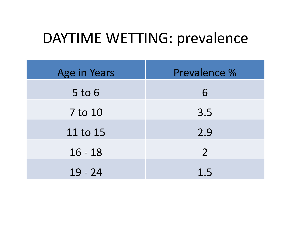#### DAYTIME WETTING: prevalence

| Age in Years | Prevalence %   |
|--------------|----------------|
| $5$ to $6$   | 6              |
| 7 to 10      | 3.5            |
| 11 to 15     | 2.9            |
| $16 - 18$    | $\overline{2}$ |
| $19 - 24$    | 1.5            |